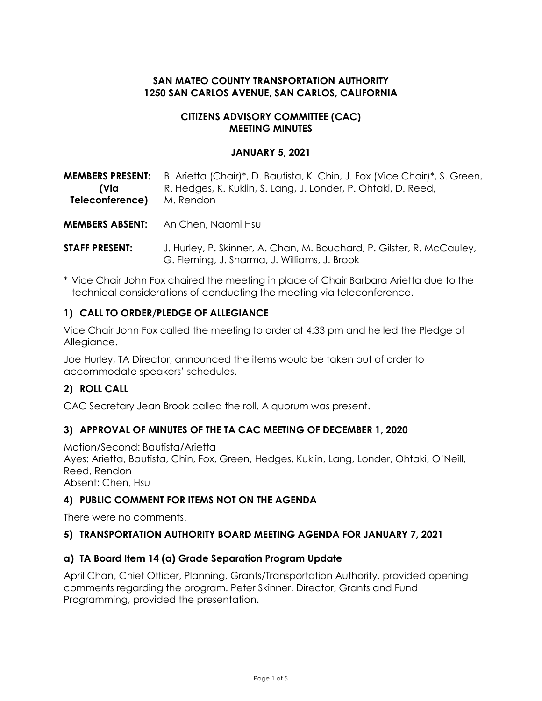# **SAN MATEO COUNTY TRANSPORTATION AUTHORITY 1250 SAN CARLOS AVENUE, SAN CARLOS, CALIFORNIA**

#### **CITIZENS ADVISORY COMMITTEE (CAC) MEETING MINUTES**

#### **JANUARY 5, 2021**

| <b>MEMBERS PRESENT:</b> | B. Arietta (Chair)*, D. Bautista, K. Chin, J. Fox (Vice Chair)*, S. Green, |
|-------------------------|----------------------------------------------------------------------------|
| (Via                    | R. Hedges, K. Kuklin, S. Lang, J. Londer, P. Ohtaki, D. Reed,              |
| Teleconference)         | M. Rendon                                                                  |
|                         |                                                                            |

**MEMBERS ABSENT:** An Chen, Naomi Hsu

- **STAFF PRESENT:** J. Hurley, P. Skinner, A. Chan, M. Bouchard, P. Gilster, R. McCauley, G. Fleming, J. Sharma, J. Williams, J. Brook
- \* Vice Chair John Fox chaired the meeting in place of Chair Barbara Arietta due to the technical considerations of conducting the meeting via teleconference.

### **1) CALL TO ORDER/PLEDGE OF ALLEGIANCE**

Vice Chair John Fox called the meeting to order at 4:33 pm and he led the Pledge of Allegiance.

Joe Hurley, TA Director, announced the items would be taken out of order to accommodate speakers' schedules.

### **2) ROLL CALL**

CAC Secretary Jean Brook called the roll. A quorum was present.

### **3) APPROVAL OF MINUTES OF THE TA CAC MEETING OF DECEMBER 1, 2020**

Motion/Second: Bautista/Arietta Ayes: Arietta, Bautista, Chin, Fox, Green, Hedges, Kuklin, Lang, Londer, Ohtaki, O'Neill, Reed, Rendon Absent: Chen, Hsu

### **4) PUBLIC COMMENT FOR ITEMS NOT ON THE AGENDA**

There were no comments.

### **5) TRANSPORTATION AUTHORITY BOARD MEETING AGENDA FOR JANUARY 7, 2021**

#### **a) TA Board Item 14 (a) Grade Separation Program Update**

April Chan, Chief Officer, Planning, Grants/Transportation Authority, provided opening comments regarding the program. Peter Skinner, Director, Grants and Fund Programming, provided the presentation.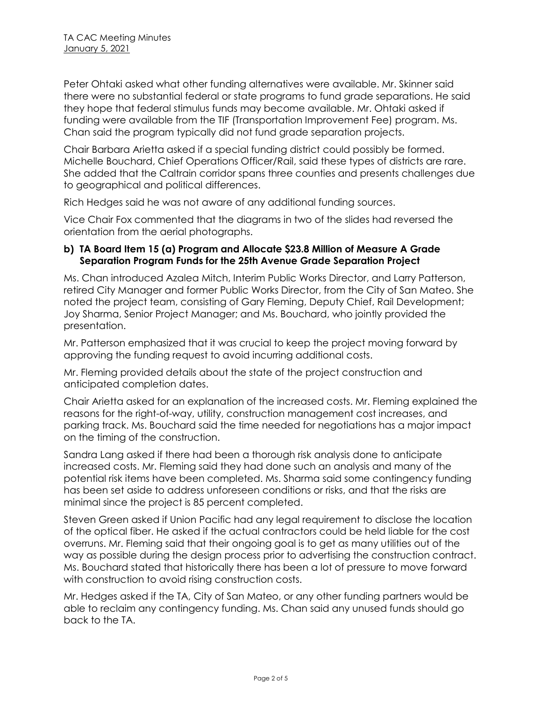Peter Ohtaki asked what other funding alternatives were available. Mr. Skinner said there were no substantial federal or state programs to fund grade separations. He said they hope that federal stimulus funds may become available. Mr. Ohtaki asked if funding were available from the TIF (Transportation Improvement Fee) program. Ms. Chan said the program typically did not fund grade separation projects.

Chair Barbara Arietta asked if a special funding district could possibly be formed. Michelle Bouchard, Chief Operations Officer/Rail, said these types of districts are rare. She added that the Caltrain corridor spans three counties and presents challenges due to geographical and political differences.

Rich Hedges said he was not aware of any additional funding sources.

Vice Chair Fox commented that the diagrams in two of the slides had reversed the orientation from the aerial photographs.

### **b) TA Board Item 15 (a) Program and Allocate \$23.8 Million of Measure A Grade Separation Program Funds for the 25th Avenue Grade Separation Project**

Ms. Chan introduced Azalea Mitch, Interim Public Works Director, and Larry Patterson, retired City Manager and former Public Works Director, from the City of San Mateo. She noted the project team, consisting of Gary Fleming, Deputy Chief, Rail Development; Joy Sharma, Senior Project Manager; and Ms. Bouchard, who jointly provided the presentation.

Mr. Patterson emphasized that it was crucial to keep the project moving forward by approving the funding request to avoid incurring additional costs.

Mr. Fleming provided details about the state of the project construction and anticipated completion dates.

Chair Arietta asked for an explanation of the increased costs. Mr. Fleming explained the reasons for the right-of-way, utility, construction management cost increases, and parking track. Ms. Bouchard said the time needed for negotiations has a major impact on the timing of the construction.

Sandra Lang asked if there had been a thorough risk analysis done to anticipate increased costs. Mr. Fleming said they had done such an analysis and many of the potential risk items have been completed. Ms. Sharma said some contingency funding has been set aside to address unforeseen conditions or risks, and that the risks are minimal since the project is 85 percent completed.

Steven Green asked if Union Pacific had any legal requirement to disclose the location of the optical fiber. He asked if the actual contractors could be held liable for the cost overruns. Mr. Fleming said that their ongoing goal is to get as many utilities out of the way as possible during the design process prior to advertising the construction contract. Ms. Bouchard stated that historically there has been a lot of pressure to move forward with construction to avoid rising construction costs.

Mr. Hedges asked if the TA, City of San Mateo, or any other funding partners would be able to reclaim any contingency funding. Ms. Chan said any unused funds should go back to the TA.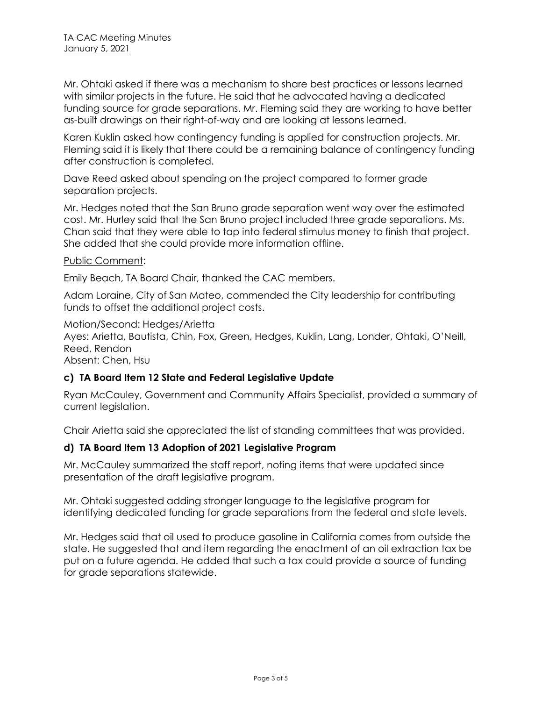Mr. Ohtaki asked if there was a mechanism to share best practices or lessons learned with similar projects in the future. He said that he advocated having a dedicated funding source for grade separations. Mr. Fleming said they are working to have better as-built drawings on their right-of-way and are looking at lessons learned.

Karen Kuklin asked how contingency funding is applied for construction projects. Mr. Fleming said it is likely that there could be a remaining balance of contingency funding after construction is completed.

Dave Reed asked about spending on the project compared to former grade separation projects.

Mr. Hedges noted that the San Bruno grade separation went way over the estimated cost. Mr. Hurley said that the San Bruno project included three grade separations. Ms. Chan said that they were able to tap into federal stimulus money to finish that project. She added that she could provide more information offline.

#### Public Comment:

Emily Beach, TA Board Chair, thanked the CAC members.

Adam Loraine, City of San Mateo, commended the City leadership for contributing funds to offset the additional project costs.

Motion/Second: Hedges/Arietta Ayes: Arietta, Bautista, Chin, Fox, Green, Hedges, Kuklin, Lang, Londer, Ohtaki, O'Neill, Reed, Rendon Absent: Chen, Hsu

### **c) TA Board Item 12 State and Federal Legislative Update**

Ryan McCauley, Government and Community Affairs Specialist, provided a summary of current legislation.

Chair Arietta said she appreciated the list of standing committees that was provided.

### **d) TA Board Item 13 Adoption of 2021 Legislative Program**

Mr. McCauley summarized the staff report, noting items that were updated since presentation of the draft legislative program.

Mr. Ohtaki suggested adding stronger language to the legislative program for identifying dedicated funding for grade separations from the federal and state levels.

Mr. Hedges said that oil used to produce gasoline in California comes from outside the state. He suggested that and item regarding the enactment of an oil extraction tax be put on a future agenda. He added that such a tax could provide a source of funding for grade separations statewide.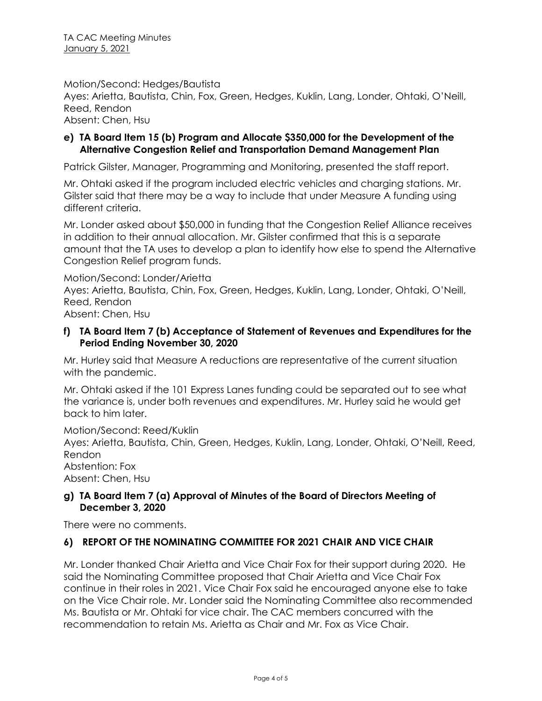Motion/Second: Hedges/Bautista

Ayes: Arietta, Bautista, Chin, Fox, Green, Hedges, Kuklin, Lang, Londer, Ohtaki, O'Neill, Reed, Rendon

Absent: Chen, Hsu

## **e) TA Board Item 15 (b) Program and Allocate \$350,000 for the Development of the Alternative Congestion Relief and Transportation Demand Management Plan**

Patrick Gilster, Manager, Programming and Monitoring, presented the staff report.

Mr. Ohtaki asked if the program included electric vehicles and charging stations. Mr. Gilster said that there may be a way to include that under Measure A funding using different criteria.

Mr. Londer asked about \$50,000 in funding that the Congestion Relief Alliance receives in addition to their annual allocation. Mr. Gilster confirmed that this is a separate amount that the TA uses to develop a plan to identify how else to spend the Alternative Congestion Relief program funds.

Motion/Second: Londer/Arietta Ayes: Arietta, Bautista, Chin, Fox, Green, Hedges, Kuklin, Lang, Londer, Ohtaki, O'Neill, Reed, Rendon Absent: Chen, Hsu

## **f) TA Board Item 7 (b) Acceptance of Statement of Revenues and Expenditures for the Period Ending November 30, 2020**

Mr. Hurley said that Measure A reductions are representative of the current situation with the pandemic.

Mr. Ohtaki asked if the 101 Express Lanes funding could be separated out to see what the variance is, under both revenues and expenditures. Mr. Hurley said he would get back to him later.

Motion/Second: Reed/Kuklin

Ayes: Arietta, Bautista, Chin, Green, Hedges, Kuklin, Lang, Londer, Ohtaki, O'Neill, Reed, Rendon

Abstention: Fox Absent: Chen, Hsu

## **g) TA Board Item 7 (a) Approval of Minutes of the Board of Directors Meeting of December 3, 2020**

There were no comments.

# **6) REPORT OF THE NOMINATING COMMITTEE FOR 2021 CHAIR AND VICE CHAIR**

Mr. Londer thanked Chair Arietta and Vice Chair Fox for their support during 2020. He said the Nominating Committee proposed that Chair Arietta and Vice Chair Fox continue in their roles in 2021. Vice Chair Fox said he encouraged anyone else to take on the Vice Chair role. Mr. Londer said the Nominating Committee also recommended Ms. Bautista or Mr. Ohtaki for vice chair. The CAC members concurred with the recommendation to retain Ms. Arietta as Chair and Mr. Fox as Vice Chair.